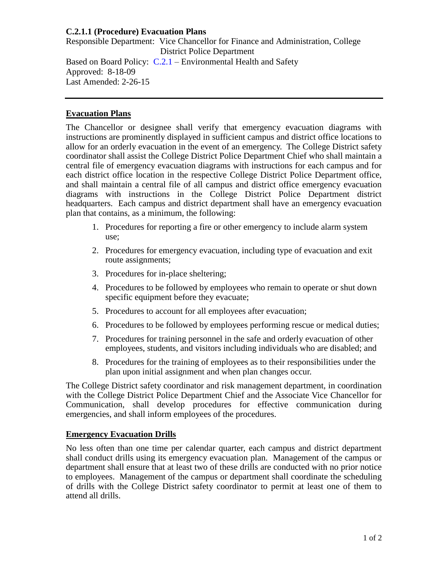## **C.2.1.1 (Procedure) Evacuation Plans**

Responsible Department: Vice Chancellor for Finance and Administration, College District Police Department Based on Board Policy: [C.2.1](https://www.alamo.edu/siteassets/district/about-us/leadership/board-of-trustees/policies-pdfs/section-c/c.2.1-policy.pdf) – Environmental Health and Safety Approved: 8-18-09 Last Amended: 2-26-15

## **Evacuation Plans**

The Chancellor or designee shall verify that emergency evacuation diagrams with instructions are prominently displayed in sufficient campus and district office locations to allow for an orderly evacuation in the event of an emergency. The College District safety coordinator shall assist the College District Police Department Chief who shall maintain a central file of emergency evacuation diagrams with instructions for each campus and for each district office location in the respective College District Police Department office, and shall maintain a central file of all campus and district office emergency evacuation diagrams with instructions in the College District Police Department district headquarters. Each campus and district department shall have an emergency evacuation plan that contains, as a minimum, the following:

- 1. Procedures for reporting a fire or other emergency to include alarm system use;
- 2. Procedures for emergency evacuation, including type of evacuation and exit route assignments;
- 3. Procedures for in-place sheltering;
- 4. Procedures to be followed by employees who remain to operate or shut down specific equipment before they evacuate;
- 5. Procedures to account for all employees after evacuation;
- 6. Procedures to be followed by employees performing rescue or medical duties;
- 7. Procedures for training personnel in the safe and orderly evacuation of other employees, students, and visitors including individuals who are disabled; and
- 8. Procedures for the training of employees as to their responsibilities under the plan upon initial assignment and when plan changes occur.

The College District safety coordinator and risk management department, in coordination with the College District Police Department Chief and the Associate Vice Chancellor for Communication, shall develop procedures for effective communication during emergencies, and shall inform employees of the procedures.

## **Emergency Evacuation Drills**

No less often than one time per calendar quarter, each campus and district department shall conduct drills using its emergency evacuation plan. Management of the campus or department shall ensure that at least two of these drills are conducted with no prior notice to employees. Management of the campus or department shall coordinate the scheduling of drills with the College District safety coordinator to permit at least one of them to attend all drills.